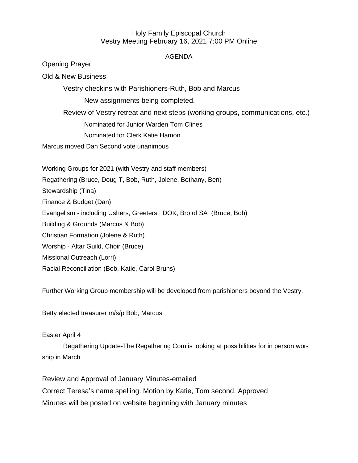## Holy Family Episcopal Church Vestry Meeting February 16, 2021 7:00 PM Online

## AGENDA

Opening Prayer

Old & New Business

Vestry checkins with Parishioners-Ruth, Bob and Marcus

New assignments being completed.

Review of Vestry retreat and next steps (working groups, communications, etc.) Nominated for Junior Warden Tom Clines

Nominated for Clerk Katie Hamon

Marcus moved Dan Second vote unanimous

Working Groups for 2021 (with Vestry and staff members) Regathering (Bruce, Doug T, Bob, Ruth, Jolene, Bethany, Ben) Stewardship (Tina) Finance & Budget (Dan) Evangelism - including Ushers, Greeters, DOK, Bro of SA (Bruce, Bob) Building & Grounds (Marcus & Bob) Christian Formation (Jolene & Ruth) Worship - Altar Guild, Choir (Bruce) Missional Outreach (Lorri) Racial Reconciliation (Bob, Katie, Carol Bruns)

Further Working Group membership will be developed from parishioners beyond the Vestry.

Betty elected treasurer m/s/p Bob, Marcus

Easter April 4

Regathering Update-The Regathering Com is looking at possibilities for in person worship in March

Review and Approval of January Minutes-emailed Correct Teresa's name spelling. Motion by Katie, Tom second, Approved Minutes will be posted on website beginning with January minutes